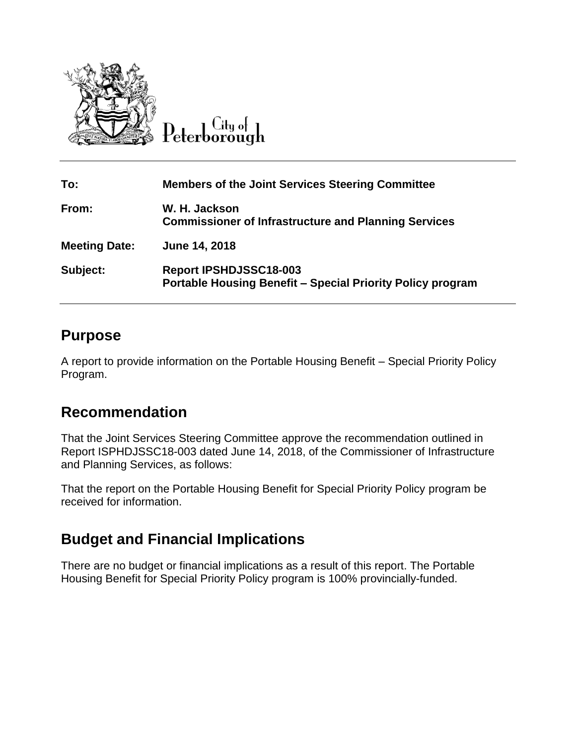

Peterborough

| To:                  | <b>Members of the Joint Services Steering Committee</b>                                            |
|----------------------|----------------------------------------------------------------------------------------------------|
| From:                | W. H. Jackson<br><b>Commissioner of Infrastructure and Planning Services</b>                       |
| <b>Meeting Date:</b> | June 14, 2018                                                                                      |
| Subject:             | <b>Report IPSHDJSSC18-003</b><br><b>Portable Housing Benefit - Special Priority Policy program</b> |

## **Purpose**

A report to provide information on the Portable Housing Benefit – Special Priority Policy Program.

# **Recommendation**

That the Joint Services Steering Committee approve the recommendation outlined in Report ISPHDJSSC18-003 dated June 14, 2018, of the Commissioner of Infrastructure and Planning Services, as follows:

That the report on the Portable Housing Benefit for Special Priority Policy program be received for information.

# **Budget and Financial Implications**

There are no budget or financial implications as a result of this report. The Portable Housing Benefit for Special Priority Policy program is 100% provincially-funded.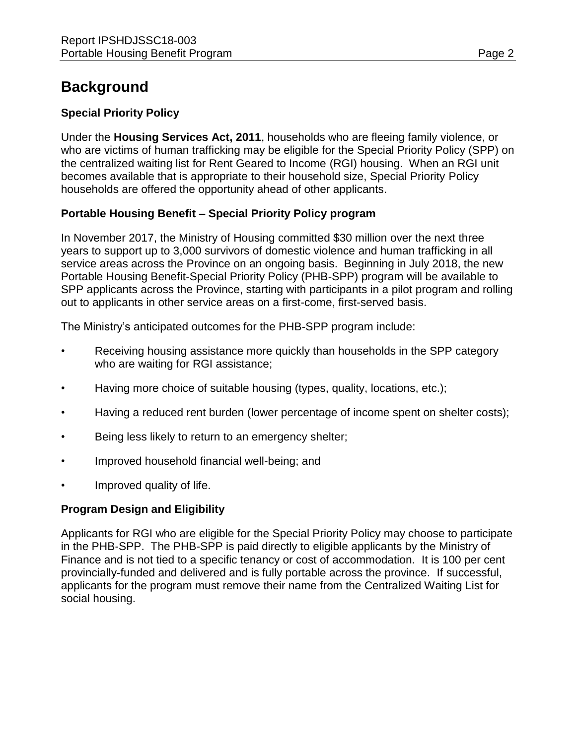# **Background**

### **Special Priority Policy**

Under the **Housing Services Act, 2011**, households who are fleeing family violence, or who are victims of human trafficking may be eligible for the Special Priority Policy (SPP) on the centralized waiting list for Rent Geared to Income (RGI) housing. When an RGI unit becomes available that is appropriate to their household size, Special Priority Policy households are offered the opportunity ahead of other applicants.

### **Portable Housing Benefit – Special Priority Policy program**

In November 2017, the Ministry of Housing committed \$30 million over the next three years to support up to 3,000 survivors of domestic violence and human trafficking in all service areas across the Province on an ongoing basis. Beginning in July 2018, the new Portable Housing Benefit-Special Priority Policy (PHB-SPP) program will be available to SPP applicants across the Province, starting with participants in a pilot program and rolling out to applicants in other service areas on a first-come, first-served basis.

The Ministry's anticipated outcomes for the PHB-SPP program include:

- Receiving housing assistance more quickly than households in the SPP category who are waiting for RGI assistance;
- Having more choice of suitable housing (types, quality, locations, etc.);
- Having a reduced rent burden (lower percentage of income spent on shelter costs);
- Being less likely to return to an emergency shelter;
- Improved household financial well-being; and
- Improved quality of life.

### **Program Design and Eligibility**

Applicants for RGI who are eligible for the Special Priority Policy may choose to participate in the PHB-SPP. The PHB-SPP is paid directly to eligible applicants by the Ministry of Finance and is not tied to a specific tenancy or cost of accommodation. It is 100 per cent provincially-funded and delivered and is fully portable across the province. If successful, applicants for the program must remove their name from the Centralized Waiting List for social housing.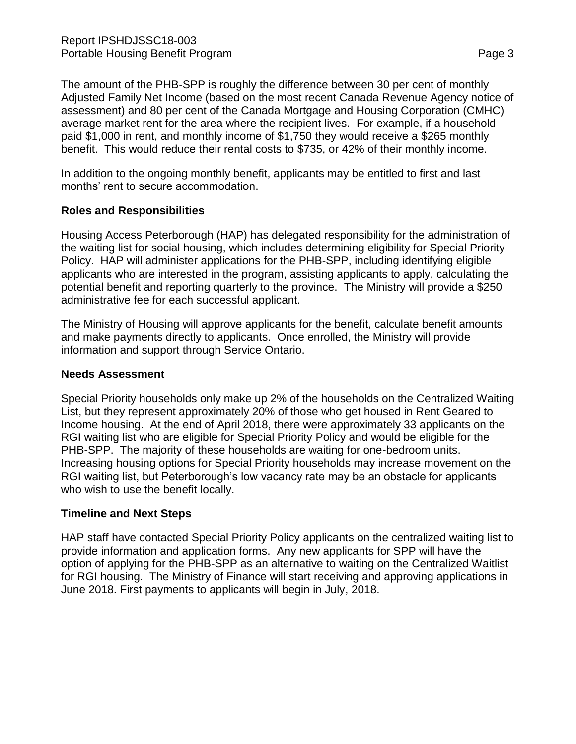In addition to the ongoing monthly benefit, applicants may be entitled to first and last months' rent to secure accommodation.

benefit. This would reduce their rental costs to \$735, or 42% of their monthly income.

### **Roles and Responsibilities**

Housing Access Peterborough (HAP) has delegated responsibility for the administration of the waiting list for social housing, which includes determining eligibility for Special Priority Policy. HAP will administer applications for the PHB-SPP, including identifying eligible applicants who are interested in the program, assisting applicants to apply, calculating the potential benefit and reporting quarterly to the province. The Ministry will provide a \$250 administrative fee for each successful applicant.

The Ministry of Housing will approve applicants for the benefit, calculate benefit amounts and make payments directly to applicants. Once enrolled, the Ministry will provide information and support through Service Ontario.

#### **Needs Assessment**

Special Priority households only make up 2% of the households on the Centralized Waiting List, but they represent approximately 20% of those who get housed in Rent Geared to Income housing. At the end of April 2018, there were approximately 33 applicants on the RGI waiting list who are eligible for Special Priority Policy and would be eligible for the PHB-SPP. The majority of these households are waiting for one-bedroom units. Increasing housing options for Special Priority households may increase movement on the RGI waiting list, but Peterborough's low vacancy rate may be an obstacle for applicants who wish to use the benefit locally.

#### **Timeline and Next Steps**

HAP staff have contacted Special Priority Policy applicants on the centralized waiting list to provide information and application forms. Any new applicants for SPP will have the option of applying for the PHB-SPP as an alternative to waiting on the Centralized Waitlist for RGI housing. The Ministry of Finance will start receiving and approving applications in June 2018. First payments to applicants will begin in July, 2018.